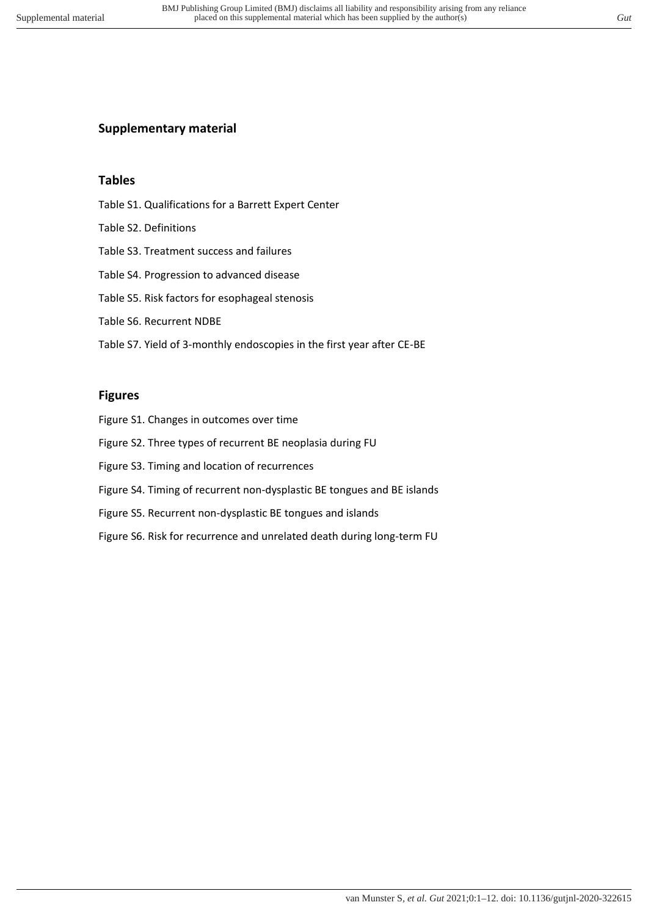# **Supplementary material**

## **Tables**

- Table S1. Qualifications for a Barrett Expert Center
- Table S2. Definitions
- Table S3. Treatment success and failures
- Table S4. Progression to advanced disease
- Table S5. Risk factors for esophageal stenosis
- Table S6. Recurrent NDBE
- Table S7. Yield of 3-monthly endoscopies in the first year after CE-BE

#### **Figures**

- Figure S1. Changes in outcomes over time
- Figure S2. Three types of recurrent BE neoplasia during FU
- Figure S3. Timing and location of recurrences
- Figure S4. Timing of recurrent non-dysplastic BE tongues and BE islands
- Figure S5. Recurrent non-dysplastic BE tongues and islands
- Figure S6. Risk for recurrence and unrelated death during long-term FU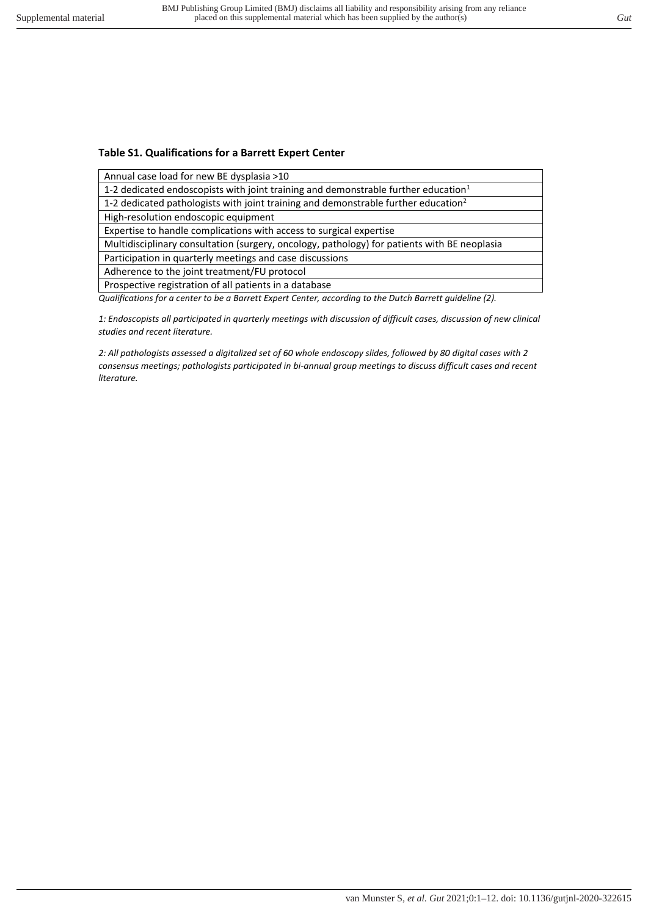## **Table S1. Qualifications for a Barrett Expert Center**

Annual case load for new BE dysplasia >10

1-2 dedicated endoscopists with joint training and demonstrable further education<sup>1</sup>

1-2 dedicated pathologists with joint training and demonstrable further education<sup>2</sup>

High-resolution endoscopic equipment

Expertise to handle complications with access to surgical expertise

Multidisciplinary consultation (surgery, oncology, pathology) for patients with BE neoplasia

Participation in quarterly meetings and case discussions

Adherence to the joint treatment/FU protocol

Prospective registration of all patients in a database

*Qualifications for a center to be a Barrett Expert Center, according to the Dutch Barrett guideline (2).* 

*1: Endoscopists all participated in quarterly meetings with discussion of difficult cases, discussion of new clinical studies and recent literature.* 

*2: All pathologists assessed a digitalized set of 60 whole endoscopy slides, followed by 80 digital cases with 2 consensus meetings; pathologists participated in bi-annual group meetings to discuss difficult cases and recent literature.*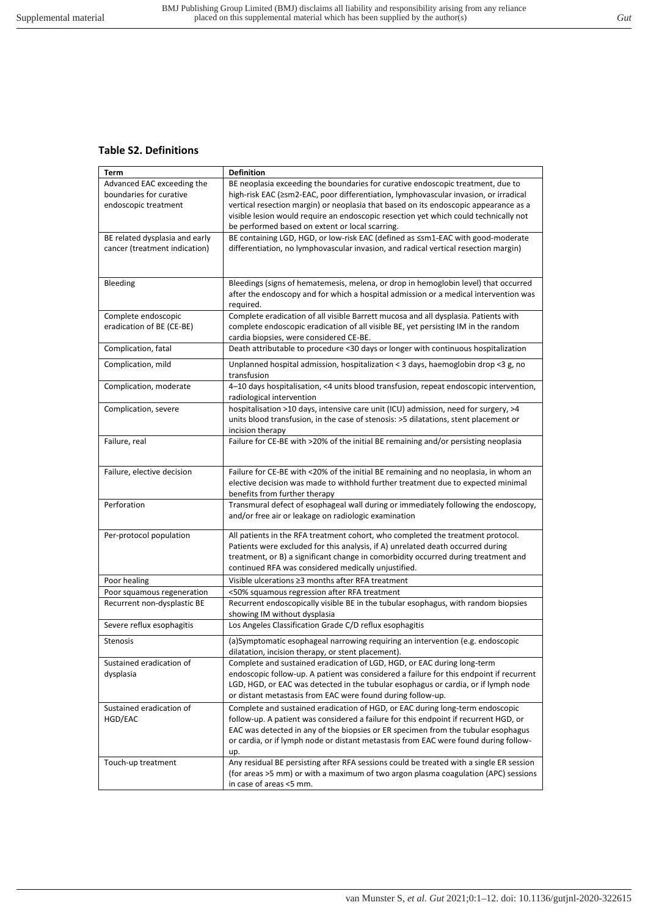## **Table S2. Definitions**

| Term                           | <b>Definition</b>                                                                                                   |
|--------------------------------|---------------------------------------------------------------------------------------------------------------------|
| Advanced EAC exceeding the     | BE neoplasia exceeding the boundaries for curative endoscopic treatment, due to                                     |
| boundaries for curative        | high-risk EAC (≥sm2-EAC, poor differentiation, lymphovascular invasion, or irradical                                |
| endoscopic treatment           | vertical resection margin) or neoplasia that based on its endoscopic appearance as a                                |
|                                | visible lesion would require an endoscopic resection yet which could technically not                                |
|                                | be performed based on extent or local scarring.                                                                     |
| BE related dysplasia and early | BE containing LGD, HGD, or low-risk EAC (defined as ≤sm1-EAC with good-moderate                                     |
| cancer (treatment indication)  | differentiation, no lymphovascular invasion, and radical vertical resection margin)                                 |
|                                |                                                                                                                     |
|                                |                                                                                                                     |
| Bleeding                       | Bleedings (signs of hematemesis, melena, or drop in hemoglobin level) that occurred                                 |
|                                | after the endoscopy and for which a hospital admission or a medical intervention was                                |
|                                | required.                                                                                                           |
| Complete endoscopic            | Complete eradication of all visible Barrett mucosa and all dysplasia. Patients with                                 |
| eradication of BE (CE-BE)      | complete endoscopic eradication of all visible BE, yet persisting IM in the random                                  |
|                                | cardia biopsies, were considered CE-BE.                                                                             |
| Complication, fatal            | Death attributable to procedure <30 days or longer with continuous hospitalization                                  |
| Complication, mild             | Unplanned hospital admission, hospitalization < 3 days, haemoglobin drop < 3 g, no                                  |
|                                | transfusion                                                                                                         |
| Complication, moderate         | 4-10 days hospitalisation, <4 units blood transfusion, repeat endoscopic intervention,<br>radiological intervention |
| Complication, severe           | hospitalisation >10 days, intensive care unit (ICU) admission, need for surgery, >4                                 |
|                                | units blood transfusion, in the case of stenosis: >5 dilatations, stent placement or                                |
|                                | incision therapy                                                                                                    |
| Failure, real                  | Failure for CE-BE with >20% of the initial BE remaining and/or persisting neoplasia                                 |
|                                |                                                                                                                     |
|                                | Failure for CE-BE with <20% of the initial BE remaining and no neoplasia, in whom an                                |
| Failure, elective decision     | elective decision was made to withhold further treatment due to expected minimal                                    |
|                                | benefits from further therapy                                                                                       |
| Perforation                    | Transmural defect of esophageal wall during or immediately following the endoscopy,                                 |
|                                | and/or free air or leakage on radiologic examination                                                                |
|                                |                                                                                                                     |
| Per-protocol population        | All patients in the RFA treatment cohort, who completed the treatment protocol.                                     |
|                                | Patients were excluded for this analysis, if A) unrelated death occurred during                                     |
|                                | treatment, or B) a significant change in comorbidity occurred during treatment and                                  |
|                                | continued RFA was considered medically unjustified.                                                                 |
| Poor healing                   | Visible ulcerations ≥3 months after RFA treatment                                                                   |
| Poor squamous regeneration     | <50% squamous regression after RFA treatment                                                                        |
| Recurrent non-dysplastic BE    | Recurrent endoscopically visible BE in the tubular esophagus, with random biopsies                                  |
|                                | showing IM without dysplasia                                                                                        |
| Severe reflux esophagitis      | Los Angeles Classification Grade C/D reflux esophagitis                                                             |
| <b>Stenosis</b>                | (a)Symptomatic esophageal narrowing requiring an intervention (e.g. endoscopic                                      |
|                                | dilatation, incision therapy, or stent placement).                                                                  |
| Sustained eradication of       | Complete and sustained eradication of LGD, HGD, or EAC during long-term                                             |
| dysplasia                      | endoscopic follow-up. A patient was considered a failure for this endpoint if recurrent                             |
|                                | LGD, HGD, or EAC was detected in the tubular esophagus or cardia, or if lymph node                                  |
|                                | or distant metastasis from EAC were found during follow-up.                                                         |
| Sustained eradication of       | Complete and sustained eradication of HGD, or EAC during long-term endoscopic                                       |
| HGD/EAC                        | follow-up. A patient was considered a failure for this endpoint if recurrent HGD, or                                |
|                                | EAC was detected in any of the biopsies or ER specimen from the tubular esophagus                                   |
|                                | or cardia, or if lymph node or distant metastasis from EAC were found during follow-                                |
|                                | up.                                                                                                                 |
| Touch-up treatment             | Any residual BE persisting after RFA sessions could be treated with a single ER session                             |
|                                | (for areas >5 mm) or with a maximum of two argon plasma coagulation (APC) sessions                                  |
|                                | in case of areas <5 mm.                                                                                             |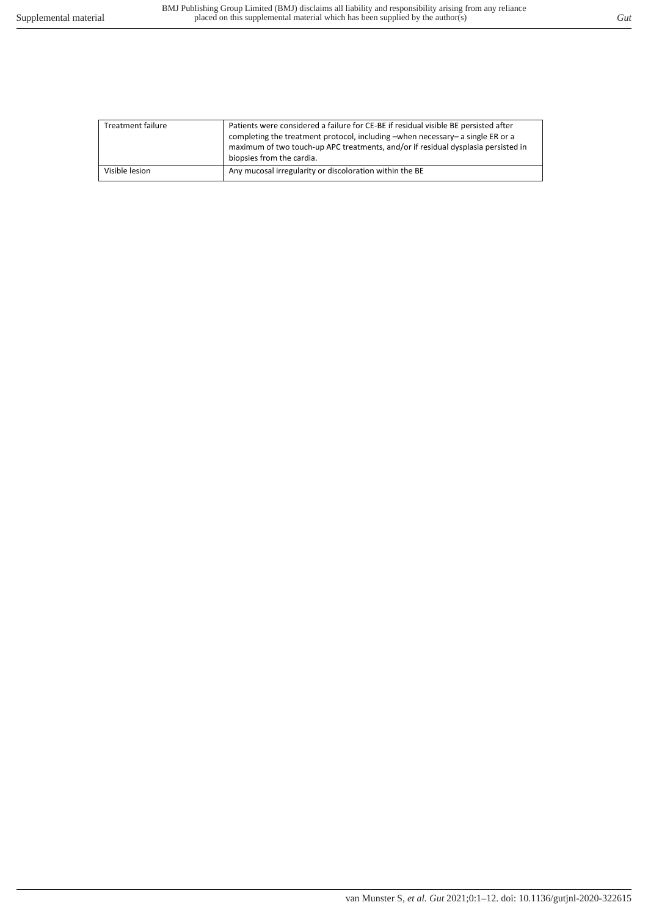| <b>Treatment failure</b> | Patients were considered a failure for CE-BE if residual visible BE persisted after<br>completing the treatment protocol, including -when necessary- a single ER or a<br>maximum of two touch-up APC treatments, and/or if residual dysplasia persisted in<br>biopsies from the cardia. |
|--------------------------|-----------------------------------------------------------------------------------------------------------------------------------------------------------------------------------------------------------------------------------------------------------------------------------------|
|                          |                                                                                                                                                                                                                                                                                         |
| Visible lesion           | Any mucosal irregularity or discoloration within the BE                                                                                                                                                                                                                                 |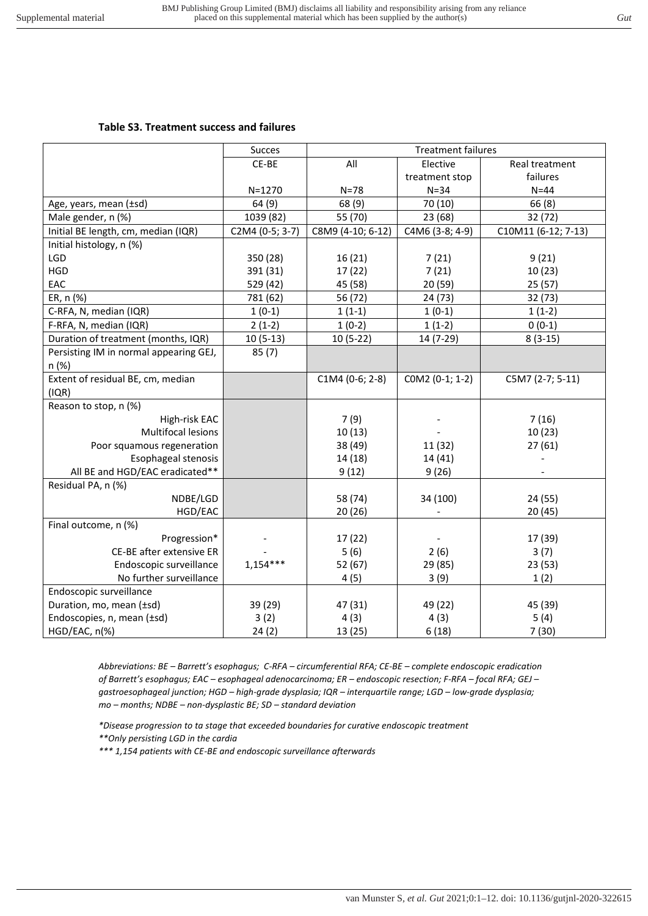## **Table S3. Treatment success and failures**

|                                        | <b>Succes</b>   |                   | <b>Treatment failures</b> |                     |
|----------------------------------------|-----------------|-------------------|---------------------------|---------------------|
|                                        | CE-BE           | All               | Elective                  | Real treatment      |
|                                        |                 |                   | treatment stop            | failures            |
|                                        | $N = 1270$      | $N = 78$          | $N = 34$                  | $N = 44$            |
| Age, years, mean (±sd)                 | 64(9)           | 68 (9)            | 70 (10)                   | 66(8)               |
| Male gender, n (%)                     | 1039 (82)       | 55 (70)           | 23 (68)                   | 32 (72)             |
| Initial BE length, cm, median (IQR)    | C2M4 (0-5; 3-7) | C8M9 (4-10; 6-12) | C4M6 (3-8; 4-9)           | C10M11 (6-12; 7-13) |
| Initial histology, n (%)               |                 |                   |                           |                     |
| LGD                                    | 350 (28)        | 16(21)            | 7(21)                     | 9(21)               |
| <b>HGD</b>                             | 391 (31)        | 17(22)            | 7(21)                     | 10(23)              |
| EAC                                    | 529 (42)        | 45 (58)           | 20(59)                    | 25(57)              |
| ER, n (%)                              | 781 (62)        | 56 (72)           | 24 (73)                   | 32 (73)             |
| C-RFA, N, median (IQR)                 | $1(0-1)$        | $1(1-1)$          | $1(0-1)$                  | $1(1-2)$            |
| F-RFA, N, median (IQR)                 | $2(1-2)$        | $1(0-2)$          | $1(1-2)$                  | $0(0-1)$            |
| Duration of treatment (months, IQR)    | $10(5-13)$      | $10(5-22)$        | 14 (7-29)                 | $8(3-15)$           |
| Persisting IM in normal appearing GEJ, | 85(7)           |                   |                           |                     |
| n (%)                                  |                 |                   |                           |                     |
| Extent of residual BE, cm, median      |                 | $C1M4 (0-6; 2-8)$ | COM2 (0-1; 1-2)           | C5M7 (2-7; 5-11)    |
| (IQR)                                  |                 |                   |                           |                     |
| Reason to stop, n (%)                  |                 |                   |                           |                     |
| High-risk EAC                          |                 | 7(9)              |                           | 7(16)               |
| Multifocal lesions                     |                 | 10(13)            |                           | 10(23)              |
| Poor squamous regeneration             |                 | 38 (49)           | 11 (32)                   | 27(61)              |
| Esophageal stenosis                    |                 | 14 (18)           | 14 (41)                   |                     |
| All BE and HGD/EAC eradicated**        |                 | 9(12)             | 9(26)                     |                     |
| Residual PA, n (%)                     |                 |                   |                           |                     |
| NDBE/LGD                               |                 | 58 (74)           | 34 (100)                  | 24 (55)             |
| HGD/EAC                                |                 | 20(26)            |                           | 20(45)              |
| Final outcome, n (%)                   |                 |                   |                           |                     |
| Progression*                           |                 | 17 (22)           |                           | 17 (39)             |
| CE-BE after extensive ER               |                 | 5(6)              | 2(6)                      | 3(7)                |
| Endoscopic surveillance                | $1,154***$      | 52 (67)           | 29 (85)                   | 23(53)              |
| No further surveillance                |                 | 4(5)              | 3(9)                      | 1(2)                |
| Endoscopic surveillance                |                 |                   |                           |                     |
| Duration, mo, mean (±sd)               | 39 (29)         | 47 (31)           | 49 (22)                   | 45 (39)             |
| Endoscopies, n, mean (±sd)             | 3(2)            | 4(3)              | 4(3)                      | 5(4)                |
| HGD/EAC, n(%)                          | 24(2)           | 13 (25)           | 6(18)                     | 7(30)               |

*Abbreviations: BE – Barrett's esophagus; C-RFA – circumferential RFA; CE-BE – complete endoscopic eradication of Barrett's esophagus; EAC – esophageal adenocarcinoma; ER – endoscopic resection; F-RFA – focal RFA; GEJ – gastroesophageal junction; HGD – high-grade dysplasia; IQR – interquartile range; LGD – low-grade dysplasia; mo – months; NDBE – non-dysplastic BE; SD – standard deviation* 

*\*Disease progression to ta stage that exceeded boundaries for curative endoscopic treatment \*\*Only persisting LGD in the cardia* 

*\*\*\* 1,154 patients with CE-BE and endoscopic surveillance afterwards*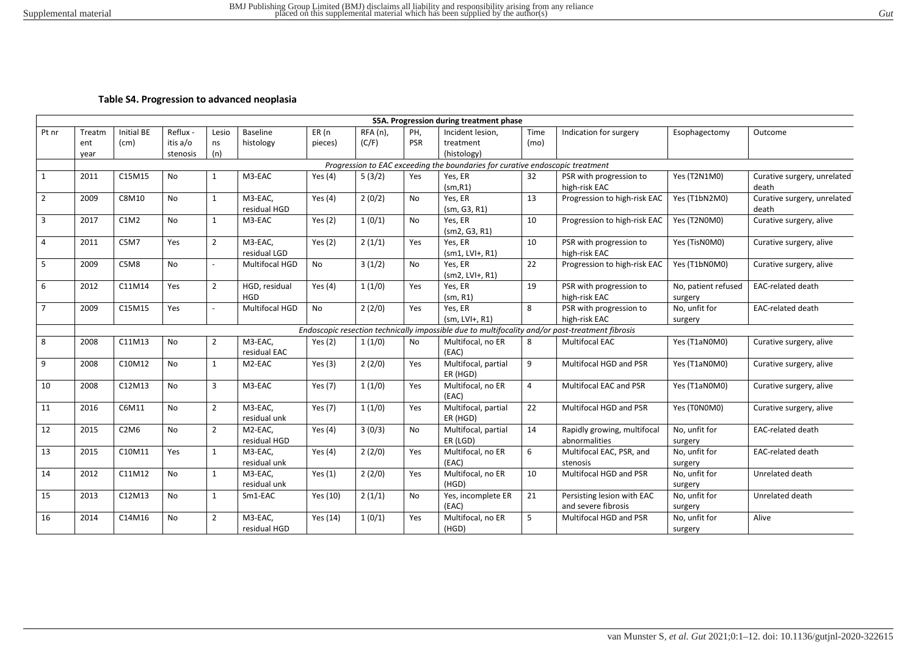#### **Table S4. Progression to advanced neoplasia**

|                |        |                               |           |                |                         |           |                 |            | S5A. Progression during treatment phase                                       |      |                                                                                                 |                                |                                      |
|----------------|--------|-------------------------------|-----------|----------------|-------------------------|-----------|-----------------|------------|-------------------------------------------------------------------------------|------|-------------------------------------------------------------------------------------------------|--------------------------------|--------------------------------------|
| Pt nr          | Treatm | <b>Initial BE</b>             | Reflux -  | Lesio          | <b>Baseline</b>         | ER (n     | <b>RFA</b> (n), | PH,        | Incident lesion,                                                              | Time | Indication for surgery                                                                          | Esophagectomy                  | Outcome                              |
|                | ent    | (cm)                          | itis a/o  | ns             | histology               | pieces)   | (C/F)           | <b>PSR</b> | treatment                                                                     | (mo) |                                                                                                 |                                |                                      |
|                | year   |                               | stenosis  | (n)            |                         |           |                 |            | (histology)                                                                   |      |                                                                                                 |                                |                                      |
|                |        |                               |           |                |                         |           |                 |            | Progression to EAC exceeding the boundaries for curative endoscopic treatment |      |                                                                                                 |                                |                                      |
| 1              | 2011   | C15M15                        | <b>No</b> | $\mathbf{1}$   | M3-EAC                  | Yes $(4)$ | 5(3/2)          | Yes        | Yes, ER                                                                       | 32   | PSR with progression to                                                                         | Yes (T2N1M0)                   | Curative surgery, unrelated          |
|                |        |                               |           |                |                         |           |                 |            | (sm, R1)                                                                      |      | high-risk EAC                                                                                   |                                | death                                |
| $\overline{2}$ | 2009   | C8M10                         | <b>No</b> | $\mathbf{1}$   | M3-EAC.<br>residual HGD | Yes $(4)$ | 2(0/2)          | <b>No</b>  | Yes, ER<br>(sm, G3, R1)                                                       | 13   | Progression to high-risk EAC                                                                    | Yes (T1bN2M0)                  | Curative surgery, unrelated<br>death |
| 3              | 2017   | C1M2                          | <b>No</b> | $\mathbf{1}$   | M3-EAC                  | Yes $(2)$ | 1(0/1)          | <b>No</b>  | Yes, ER<br>(sm2, G3, R1)                                                      | 10   | Progression to high-risk EAC                                                                    | Yes (T2N0M0)                   | Curative surgery, alive              |
| $\overline{4}$ | 2011   | C5M7                          | Yes       | $\overline{2}$ | M3-EAC,<br>residual LGD | Yes $(2)$ | 2(1/1)          | Yes        | Yes. ER<br>$(sm1, LVH+, R1)$                                                  | 10   | PSR with progression to<br>high-risk EAC                                                        | Yes (TisN0M0)                  | Curative surgery, alive              |
| 5              | 2009   | C5M8                          | No        | $\overline{a}$ | Multifocal HGD          | No        | 3(1/2)          | No         | Yes, ER<br>$(sm2, LVH+, R1)$                                                  | 22   | Progression to high-risk EAC                                                                    | Yes (T1bN0M0)                  | Curative surgery, alive              |
| 6              | 2012   | C11M14                        | Yes       | $\overline{2}$ | HGD, residual<br>HGD    | Yes $(4)$ | 1(1/0)          | Yes        | Yes, ER<br>(sm, R1)                                                           | 19   | PSR with progression to<br>high-risk EAC                                                        | No, patient refused<br>surgery | EAC-related death                    |
| $\overline{7}$ | 2009   | C15M15                        | Yes       |                | Multifocal HGD          | No        | 2(2/0)          | Yes        | Yes, ER<br>$(sm, LVH+, R1)$                                                   | 8    | PSR with progression to<br>high-risk EAC                                                        | No, unfit for<br>surgery       | EAC-related death                    |
|                |        |                               |           |                |                         |           |                 |            |                                                                               |      | Endoscopic resection technically impossible due to multifocality and/or post-treatment fibrosis |                                |                                      |
| 8              | 2008   | C11M13                        | No        | 2              | M3-EAC,<br>residual EAC | Yes $(2)$ | 1(1/0)          | <b>No</b>  | Multifocal, no ER<br>(EAC)                                                    | 8    | <b>Multifocal EAC</b>                                                                           | Yes (T1aN0M0)                  | Curative surgery, alive              |
| 9              | 2008   | C10M12                        | <b>No</b> | $\mathbf{1}$   | M2-EAC                  | Yes $(3)$ | 2(2/0)          | Yes        | Multifocal, partial<br>ER (HGD)                                               | 9    | Multifocal HGD and PSR                                                                          | Yes (T1aN0M0)                  | Curative surgery, alive              |
| 10             | 2008   | C12M13                        | No        | 3              | M3-EAC                  | Yes (7)   | 1(1/0)          | Yes        | Multifocal, no ER<br>(EAC)                                                    | 4    | Multifocal EAC and PSR                                                                          | Yes (T1aN0M0)                  | Curative surgery, alive              |
| 11             | 2016   | C6M11                         | No        | $\overline{2}$ | M3-EAC,<br>residual unk | Yes (7)   | 1(1/0)          | Yes        | Multifocal, partial<br>ER (HGD)                                               | 22   | Multifocal HGD and PSR                                                                          | Yes (T0N0M0)                   | Curative surgery, alive              |
| 12             | 2015   | C <sub>2</sub> M <sub>6</sub> | <b>No</b> | $\overline{2}$ | M2-EAC,<br>residual HGD | Yes $(4)$ | 3(0/3)          | <b>No</b>  | Multifocal, partial<br>ER (LGD)                                               | 14   | Rapidly growing, multifocal<br>abnormalities                                                    | No, unfit for<br>surgery       | <b>EAC-related death</b>             |
| 13             | 2015   | C10M11                        | Yes       | $\mathbf{1}$   | M3-EAC,<br>residual unk | Yes $(4)$ | 2(2/0)          | Yes        | Multifocal, no ER<br>(EAC)                                                    | 6    | Multifocal EAC, PSR, and<br>stenosis                                                            | No, unfit for<br>surgery       | <b>EAC-related death</b>             |
| 14             | 2012   | C11M12                        | <b>No</b> | $\mathbf{1}$   | M3-EAC,<br>residual unk | Yes $(1)$ | 2(2/0)          | Yes        | Multifocal, no ER<br>(HGD)                                                    | 10   | Multifocal HGD and PSR                                                                          | No, unfit for<br>surgery       | Unrelated death                      |
| 15             | 2013   | C12M13                        | <b>No</b> | $\mathbf{1}$   | Sm1-EAC                 | Yes (10)  | 2(1/1)          | <b>No</b>  | Yes, incomplete ER<br>(EAC)                                                   | 21   | Persisting lesion with EAC<br>and severe fibrosis                                               | No, unfit for<br>surgery       | Unrelated death                      |
| 16             | 2014   | C14M16                        | <b>No</b> | $\overline{2}$ | M3-EAC.<br>residual HGD | Yes (14)  | 1(0/1)          | Yes        | Multifocal, no ER<br>(HGD)                                                    | 5    | Multifocal HGD and PSR                                                                          | No, unfit for<br>surgery       | Alive                                |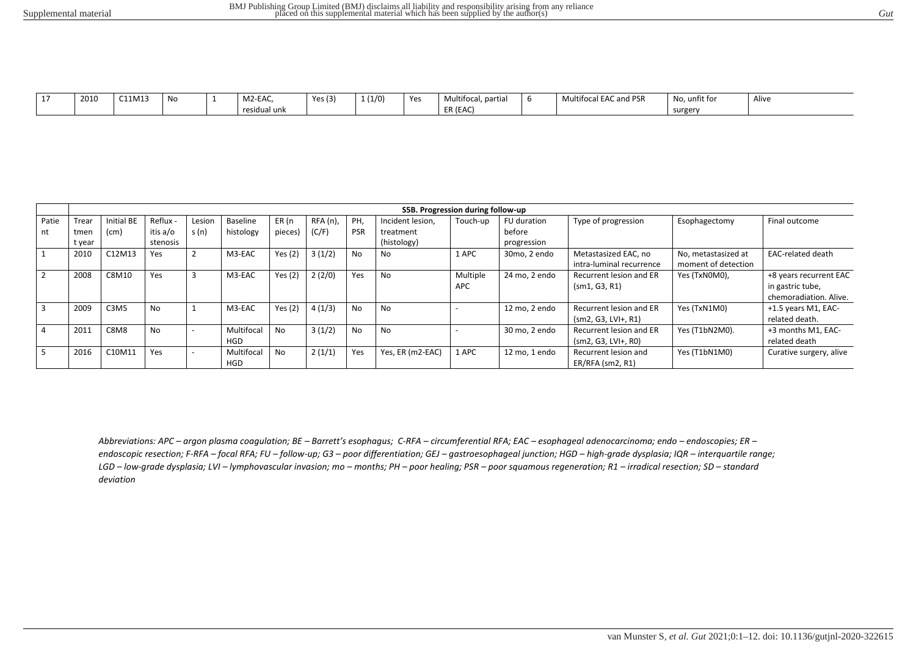| $\overline{\phantom{a}}$ | 2010 | C11M13 | No | M2-EAC,           | Yes $(3)$ | 1(1/0) | Yes | partial<br>Multifocal | $\ddot{\phantom{1}}$<br>I EAC and PSR<br>'Itifoca<br><b>IVIU</b> | No, unfit for | Alive |
|--------------------------|------|--------|----|-------------------|-----------|--------|-----|-----------------------|------------------------------------------------------------------|---------------|-------|
|                          |      |        |    | .<br>residual unk |           |        |     | ER (EAC)              |                                                                  | surgery       |       |

|                         |        |                               |          |        |                          |           |            |            |                  | S5B. Progression during follow-up |               |                                                  |                                            |                                                                      |
|-------------------------|--------|-------------------------------|----------|--------|--------------------------|-----------|------------|------------|------------------|-----------------------------------|---------------|--------------------------------------------------|--------------------------------------------|----------------------------------------------------------------------|
| Patie                   | Trear  | Initial BE                    | Reflux - | Lesion | Baseline                 | ER (n     | $RFA(n)$ , | PH.        | Incident lesion, | Touch-up                          | FU duration   | Type of progression                              | Esophagectomy                              | Final outcome                                                        |
| nt                      | tmer   | (cm)                          | itis a/o | s(n)   | histology                | pieces)   | (C/F)      | <b>PSR</b> | treatment        |                                   | before        |                                                  |                                            |                                                                      |
|                         | t year |                               | stenosis |        |                          |           |            |            | (histology)      |                                   | progression   |                                                  |                                            |                                                                      |
|                         | 2010   | C12M13                        | Yes      |        | M3-EAC                   | Yes $(2)$ | 3(1/2)     | <b>No</b>  | No.              | 1 APC                             | 30mo, 2 endo  | Metastasized EAC, no<br>intra-luminal recurrence | No, metastasized at<br>moment of detection | <b>EAC-related death</b>                                             |
| $\overline{2}$          | 2008   | C8M10                         | Yes      |        | M3-EAC                   | Yes $(2)$ | 2(2/0)     | Yes        | No               | Multiple<br>APC                   | 24 mo, 2 endo | Recurrent lesion and ER<br>(sm1, G3, R1)         | Yes (TxN0M0),                              | +8 years recurrent EAC<br>in gastric tube,<br>chemoradiation. Alive. |
| $\overline{\mathbf{3}}$ | 2009   | C <sub>3</sub> M <sub>5</sub> | No.      |        | M3-EAC                   | Yes $(2)$ | 4(1/3)     | <b>No</b>  | No               |                                   | 12 mo. 2 endo | Recurrent lesion and ER<br>$(sm2, G3, LVH+, R1)$ | Yes (TxN1M0)                               | +1.5 years M1, EAC-<br>related death.                                |
| $\overline{4}$          | 2011   | C8M8                          | No       |        | Multifocal<br><b>HGD</b> | <b>No</b> | 3(1/2)     | <b>No</b>  | No               |                                   | 30 mo, 2 endo | Recurrent lesion and ER<br>$(sm2, G3, LVI+, R0)$ | Yes (T1bN2M0).                             | +3 months M1, EAC-<br>related death                                  |
| - 5                     | 2016   | C10M11                        | Yes      |        | Multifocal<br><b>HGD</b> | <b>No</b> | 2(1/1)     | Yes        | Yes, ER (m2-EAC) | 1 APC                             | 12 mo, 1 endo | Recurrent lesion and<br>ER/RFA (sm2, R1)         | Yes (T1bN1M0)                              | Curative surgery, alive                                              |

Abbreviations: APC - argon plasma coagulation; BE - Barrett's esophagus; C-RFA - circumferential RFA; EAC - esophageal adenocarcinoma; endo - endoscopies; ER endoscopic resection; F-RFA - focal RFA; FU - follow-up; G3 - poor differentiation; GEJ - gastroesophageal junction; HGD - high-grade dysplasia; IQR - interquartile range; LGD - low-grade dysplasia; LVI - lymphovascular invasion; mo - months; PH - poor healing; PSR - poor squamous regeneration; R1 - irradical resection; SD - standard *deviation*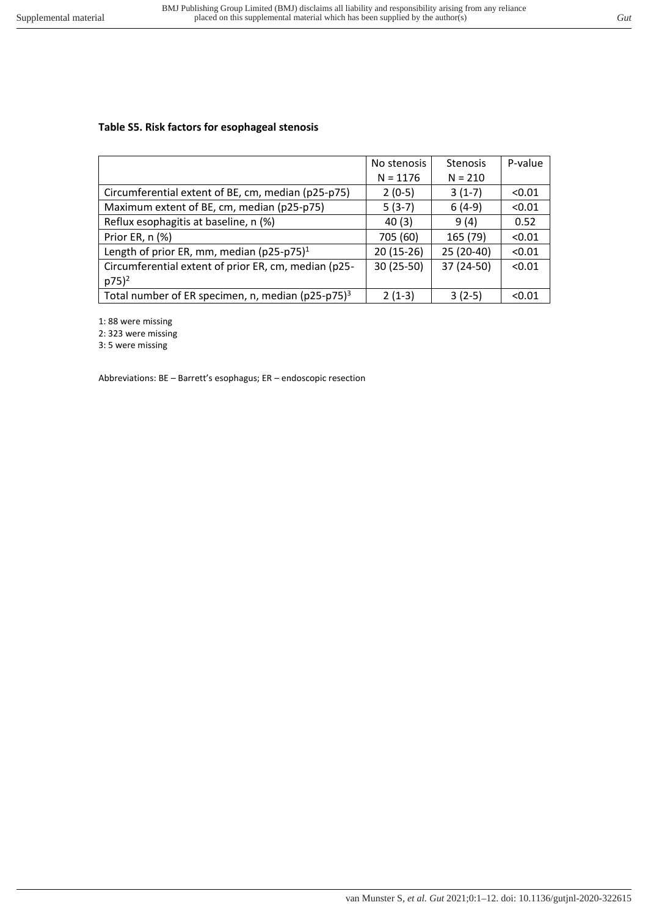## **Table S5. Risk factors for esophageal stenosis**

|                                                                   | No stenosis | <b>Stenosis</b> | P-value |
|-------------------------------------------------------------------|-------------|-----------------|---------|
|                                                                   | $N = 1176$  | $N = 210$       |         |
| Circumferential extent of BE, cm, median (p25-p75)                | $2(0-5)$    | $3(1-7)$        | < 0.01  |
| Maximum extent of BE, cm, median (p25-p75)                        | $5(3-7)$    | $6(4-9)$        | < 0.01  |
| Reflux esophagitis at baseline, n (%)                             | 40(3)       | 9(4)            | 0.52    |
| Prior ER, n (%)                                                   | 705 (60)    | 165 (79)        | < 0.01  |
| Length of prior ER, mm, median (p25-p75) $1$                      | $20(15-26)$ | 25 (20-40)      | < 0.01  |
| Circumferential extent of prior ER, cm, median (p25-              | 30 (25-50)  | 37 (24-50)      | < 0.01  |
| $p75)^2$                                                          |             |                 |         |
| Total number of ER specimen, n, median ( $p25-p75$ ) <sup>3</sup> | $2(1-3)$    | $3(2-5)$        | < 0.01  |

1: 88 were missing

2: 323 were missing

3: 5 were missing

Abbreviations: BE – Barrett's esophagus; ER – endoscopic resection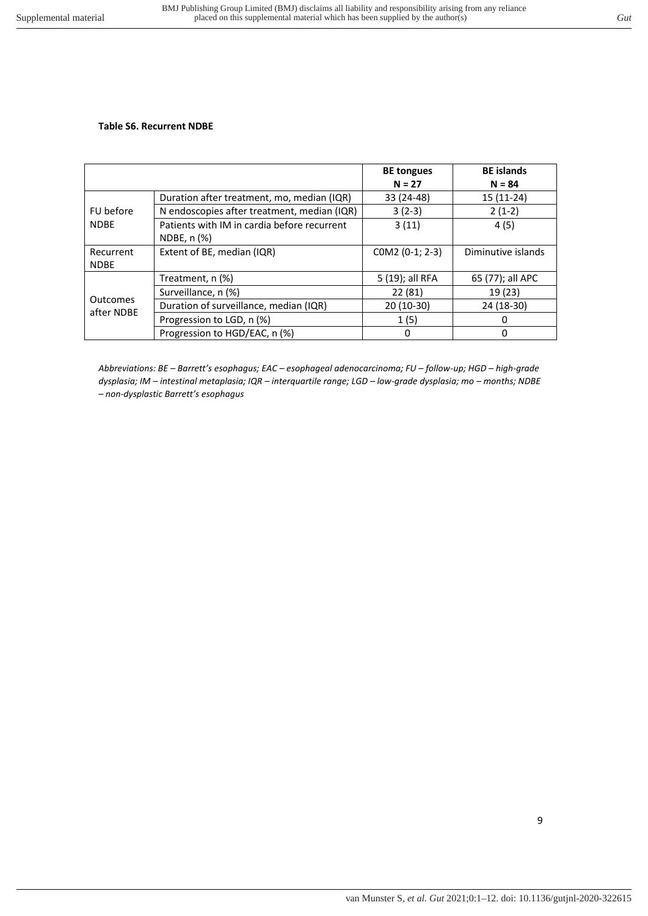## **Table S6. Recurrent NDBE**

|                        |                                             | <b>BE tongues</b><br>$N = 27$ | <b>BE</b> islands<br>$N = 84$ |
|------------------------|---------------------------------------------|-------------------------------|-------------------------------|
|                        | Duration after treatment, mo, median (IQR)  | 33 (24-48)                    | $15(11-24)$                   |
| FU before              | N endoscopies after treatment, median (IQR) | $3(2-3)$                      | $2(1-2)$                      |
| <b>NDBE</b>            | Patients with IM in cardia before recurrent | 3(11)                         | 4(5)                          |
|                        | NDBE, n (%)                                 |                               |                               |
| Recurrent              | Extent of BE, median (IQR)                  | COM2 (0-1; 2-3)               | Diminutive islands            |
| <b>NDBE</b>            |                                             |                               |                               |
|                        | Treatment, n (%)                            | 5 (19); all RFA               | 65 (77); all APC              |
|                        | Surveillance, n (%)                         | 22 (81)                       | 19 (23)                       |
| Outcomes<br>after NDBE | Duration of surveillance, median (IQR)      | 20 (10-30)                    | 24 (18-30)                    |
|                        | Progression to LGD, n (%)                   | 1(5)                          | 0                             |
|                        | Progression to HGD/EAC, n (%)               | 0                             | 0                             |

*Abbreviations: BE – Barrett's esophagus; EAC – esophageal adenocarcinoma; FU – follow-up; HGD – high-grade dysplasia; IM – intestinal metaplasia; IQR – interquartile range; LGD – low-grade dysplasia; mo – months; NDBE – non-dysplastic Barrett's esophagus*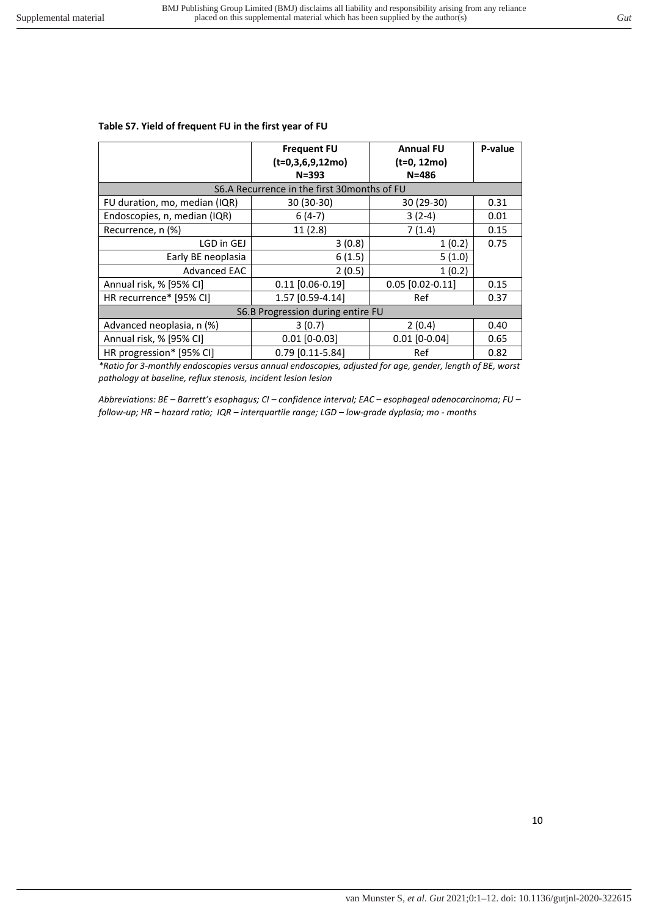#### **Table S7. Yield of frequent FU in the first year of FU**

|                                              | <b>Frequent FU</b><br>$(t=0,3,6,9,12mo)$<br>$N = 393$ | <b>Annual FU</b><br>(t=0, 12mo)<br>$N = 486$ | P-value |  |  |  |  |  |  |
|----------------------------------------------|-------------------------------------------------------|----------------------------------------------|---------|--|--|--|--|--|--|
| S6.A Recurrence in the first 30 months of FU |                                                       |                                              |         |  |  |  |  |  |  |
| FU duration, mo, median (IQR)                | 30 (30-30)                                            | 30 (29-30)                                   | 0.31    |  |  |  |  |  |  |
| Endoscopies, n, median (IQR)                 | $6(4-7)$                                              | $3(2-4)$                                     | 0.01    |  |  |  |  |  |  |
| Recurrence, n (%)                            | 11(2.8)                                               | 7(1.4)                                       | 0.15    |  |  |  |  |  |  |
| LGD in GEJ                                   | 3(0.8)                                                | 1(0.2)                                       | 0.75    |  |  |  |  |  |  |
| Early BE neoplasia                           | 6(1.5)                                                | 5(1.0)                                       |         |  |  |  |  |  |  |
| <b>Advanced EAC</b>                          | 2(0.5)                                                | 1(0.2)                                       |         |  |  |  |  |  |  |
| Annual risk, % [95% CI]                      | $0.11$ [0.06-0.19]                                    | $0.05$ [0.02-0.11]                           | 0.15    |  |  |  |  |  |  |
| HR recurrence* [95% CI]                      | 1.57 [0.59-4.14]                                      | Ref                                          | 0.37    |  |  |  |  |  |  |
| S6.B Progression during entire FU            |                                                       |                                              |         |  |  |  |  |  |  |
| Advanced neoplasia, n (%)                    | 3(0.7)                                                | 2(0.4)                                       | 0.40    |  |  |  |  |  |  |
| Annual risk, % [95% CI]                      | $0.01$ [0-0.03]                                       | $0.01$ [0-0.04]                              | 0.65    |  |  |  |  |  |  |
| HR progression* [95% CI]                     | 0.79 [0.11-5.84]                                      | Ref                                          | 0.82    |  |  |  |  |  |  |

*\*Ratio for 3-monthly endoscopies versus annual endoscopies, adjusted for age, gender, length of BE, worst pathology at baseline, reflux stenosis, incident lesion lesion* 

*Abbreviations: BE – Barrett's esophagus; CI – confidence interval; EAC – esophageal adenocarcinoma; FU – follow-up; HR – hazard ratio; IQR – interquartile range; LGD – low-grade dyplasia; mo - months*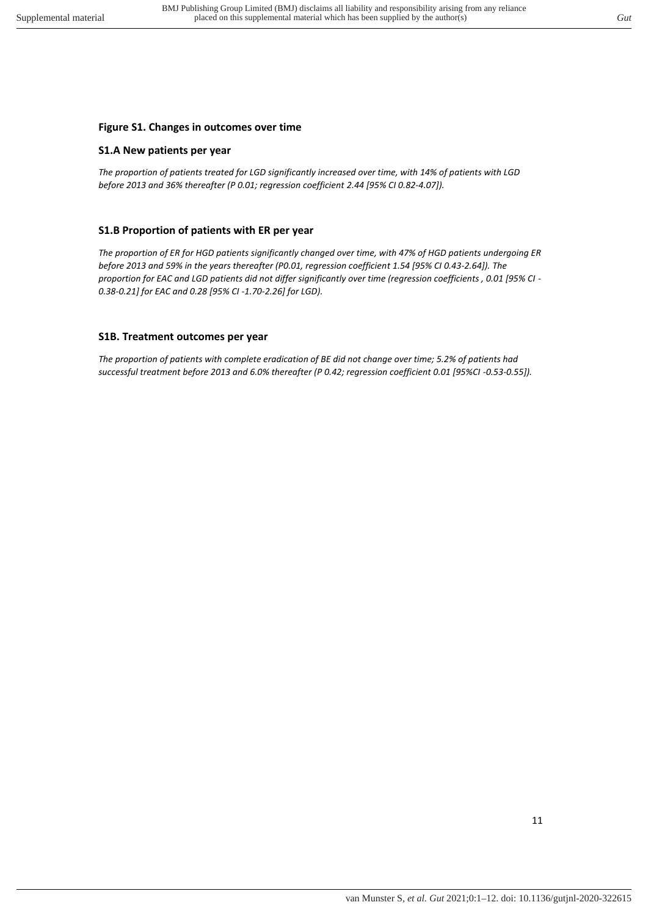## **Figure S1. Changes in outcomes over time**

#### **S1.A New patients per year**

*The proportion of patients treated for LGD significantly increased over time, with 14% of patients with LGD before 2013 and 36% thereafter (P 0.01; regression coefficient 2.44 [95% CI 0.82-4.07]).* 

## **S1.B Proportion of patients with ER per year**

*The proportion of ER for HGD patients significantly changed over time, with 47% of HGD patients undergoing ER before 2013 and 59% in the years thereafter (P0.01, regression coefficient 1.54 [95% CI 0.43-2.64]). The proportion for EAC and LGD patients did not differ significantly over time (regression coefficients , 0.01 [95% CI - 0.38-0.21] for EAC and 0.28 [95% CI -1.70-2.26] for LGD).* 

## **S1B. Treatment outcomes per year**

*The proportion of patients with complete eradication of BE did not change over time; 5.2% of patients had successful treatment before 2013 and 6.0% thereafter (P 0.42; regression coefficient 0.01 [95%CI -0.53-0.55]).*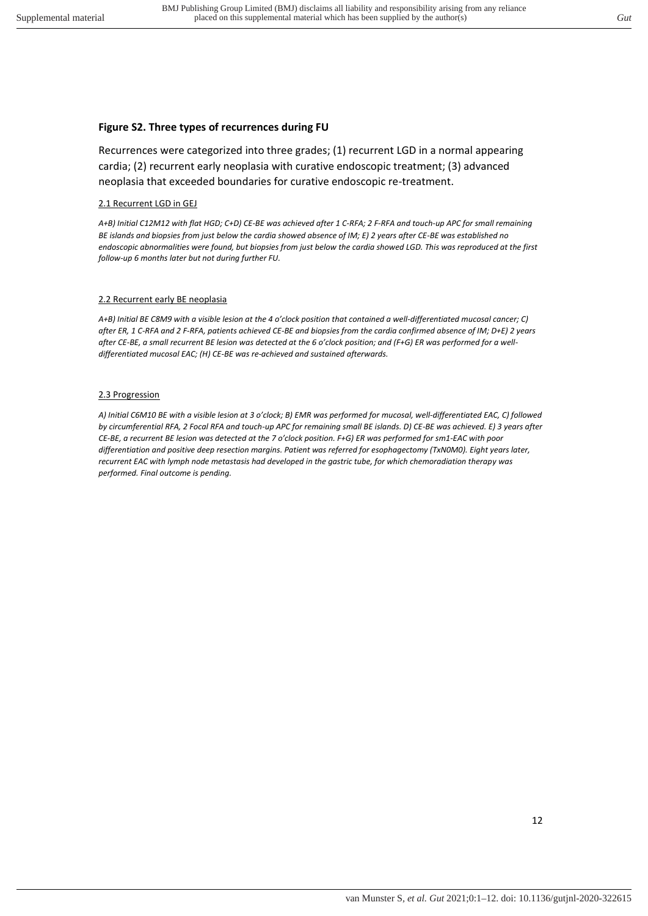#### **Figure S2. Three types of recurrences during FU**

Recurrences were categorized into three grades; (1) recurrent LGD in a normal appearing cardia; (2) recurrent early neoplasia with curative endoscopic treatment; (3) advanced neoplasia that exceeded boundaries for curative endoscopic re-treatment.

#### 2.1 Recurrent LGD in GEJ

*A+B) Initial C12M12 with flat HGD; C+D) CE-BE was achieved after 1 C-RFA; 2 F-RFA and touch-up APC for small remaining BE islands and biopsies from just below the cardia showed absence of IM; E) 2 years after CE-BE was established no endoscopic abnormalities were found, but biopsies from just below the cardia showed LGD. This was reproduced at the first follow-up 6 months later but not during further FU.* 

#### 2.2 Recurrent early BE neoplasia

*A+B) Initial BE C8M9 with a visible lesion at the 4 o'clock position that contained a well-differentiated mucosal cancer; C) after ER, 1 C-RFA and 2 F-RFA, patients achieved CE-BE and biopsies from the cardia confirmed absence of IM; D+E) 2 years after CE-BE, a small recurrent BE lesion was detected at the 6 o'clock position; and (F+G) ER was performed for a welldifferentiated mucosal EAC; (H) CE-BE was re-achieved and sustained afterwards.* 

#### 2.3 Progression

A) Initial C6M10 BE with a visible lesion at 3 o'clock; B) EMR was performed for mucosal, well-differentiated EAC, C) followed *by circumferential RFA, 2 Focal RFA and touch-up APC for remaining small BE islands. D) CE-BE was achieved. E) 3 years after CE-BE, a recurrent BE lesion was detected at the 7 o'clock position. F+G) ER was performed for sm1-EAC with poor differentiation and positive deep resection margins. Patient was referred for esophagectomy (TxN0M0). Eight years later, recurrent EAC with lymph node metastasis had developed in the gastric tube, for which chemoradiation therapy was performed. Final outcome is pending.*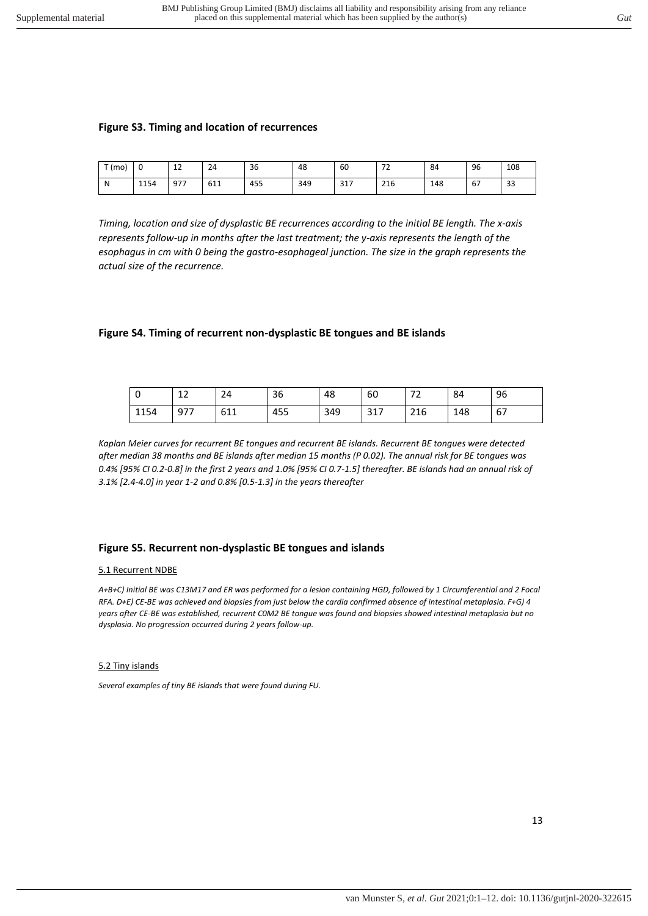#### **Figure S3. Timing and location of recurrences**

| T (m0) | U    | $\sim$<br>ᅩ | 24  | 36  | 48  | 60  | $\overline{\phantom{a}}$<br>- | 84  | 96 | 108 |
|--------|------|-------------|-----|-----|-----|-----|-------------------------------|-----|----|-----|
| N      | 1154 | 977         | 611 | 455 | 349 | 317 | 216                           | 148 | 67 | 33  |

*Timing, location and size of dysplastic BE recurrences according to the initial BE length. The x-axis represents follow-up in months after the last treatment; the y-axis represents the length of the esophagus in cm with 0 being the gastro-esophageal junction. The size in the graph represents the actual size of the recurrence.* 

#### **Figure S4. Timing of recurrent non-dysplastic BE tongues and BE islands**

| 0    | $\sim$<br>ᅩ | 24  | 36  | 48  | 60  | --<br>$\sim$ | 84  | 96 |
|------|-------------|-----|-----|-----|-----|--------------|-----|----|
| 1154 | 977         | 611 | 455 | 349 | 317 | 216          | 148 | 67 |

*Kaplan Meier curves for recurrent BE tongues and recurrent BE islands. Recurrent BE tongues were detected after median 38 months and BE islands after median 15 months (P 0.02). The annual risk for BE tongues was 0.4% [95% CI 0.2-0.8] in the first 2 years and 1.0% [95% CI 0.7-1.5] thereafter. BE islands had an annual risk of 3.1% [2.4-4.0] in year 1-2 and 0.8% [0.5-1.3] in the years thereafter* 

#### **Figure S5. Recurrent non-dysplastic BE tongues and islands**

#### 5.1 Recurrent NDBE

*A+B+C) Initial BE was C13M17 and ER was performed for a lesion containing HGD, followed by 1 Circumferential and 2 Focal RFA. D+E) CE-BE was achieved and biopsies from just below the cardia confirmed absence of intestinal metaplasia. F+G) 4 years after CE-BE was established, recurrent C0M2 BE tongue was found and biopsies showed intestinal metaplasia but no dysplasia. No progression occurred during 2 years follow-up.*

#### 5.2 Tiny islands

*Several examples of tiny BE islands that were found during FU.*